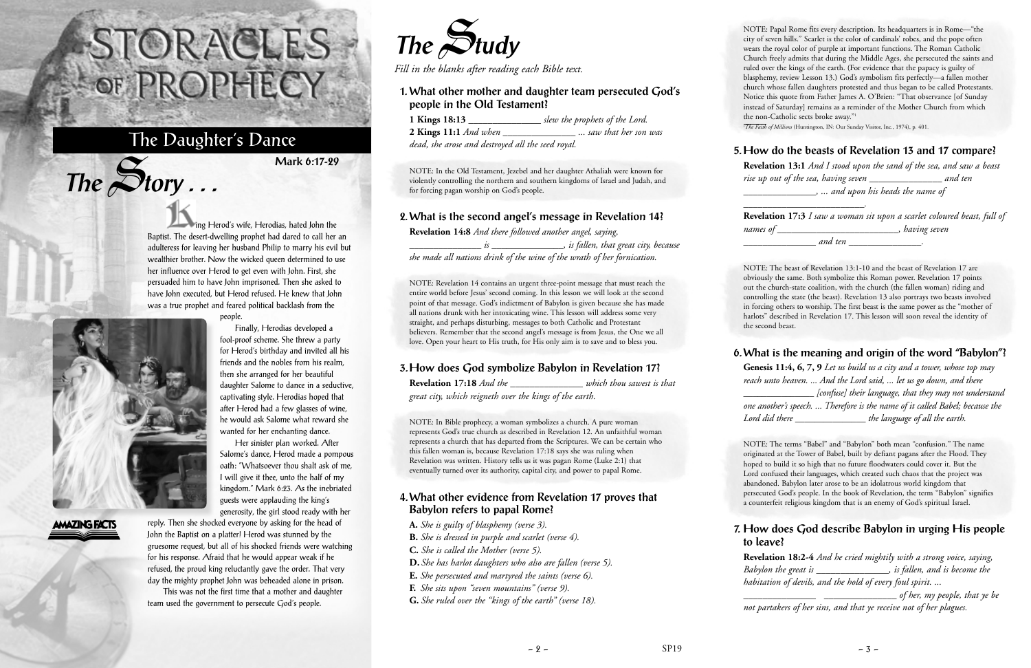ing Herod's wife, Herodias, hated John the Baptist. The desert-dwelling prophet had dared to call her an adulteress for leaving her husband Philip to marry his evil but wealthier brother. Now the wicked queen determined to use her influence over Herod to get even with John. First, she persuaded him to have John imprisoned. Then she asked to have John executed, but Herod refused. He knew that John was a true prophet and feared political backlash from the

people.



 $The$  $S$ **tory** ...

**AMAZING FACTS** 

Finally, Herodias developed a fool-proof scheme. She threw a party for Herod's birthday and invited all his friends and the nobles from his realm, then she arranged for her beautiful daughter Salome to dance in a seductive, captivating style. Herodias hoped that after Herod had a few glasses of wine, he would ask Salome what reward she wanted for her enchanting dance. Her sinister plan worked. After Salome's dance, Herod made a pompous oath: "Whatsoever thou shalt ask of me, I will give it thee, unto the half of my kingdom." Mark 6:23. As the inebriated guests were applauding the king's generosity, the girl stood ready with her

reply. Then she shocked everyone by asking for the head of John the Baptist on a platter! Herod was stunned by the gruesome request, but all of his shocked friends were watching for his response. Afraid that he would appear weak if he refused, the proud king reluctantly gave the order. That very day the mighty prophet John was beheaded alone in prison.

This was not the first time that a mother and daughter team used the government to persecute God's people.

# STORACLES-OF PROPHECY

## The Daughter's Dance

**Mark 6:17-29**



*Fill in the blanks after reading each Bible text.*

#### **1. What other mother and daughter team persecuted God's people in the Old Testament?**

| 1 Kings 18:13                                     | slew the prophets of the Lord. |
|---------------------------------------------------|--------------------------------|
| 2 Kings 11:1 And when                             | saw that her son was           |
| dead, she arose and destroyed all the seed royal. |                                |

NOTE: Papal Rome fits every description. Its headquarters is in Rome—"the city of seven hills." Scarlet is the color of cardinals' robes, and the pope often wears the royal color of purple at important functions. The Roman Catholic Church freely admits that during the Middle Ages, she persecuted the saints and ruled over the kings of the earth. (For evidence that the papacy is guilty of blasphemy, review Lesson 13.) God's symbolism fits perfectly—a fallen mother church whose fallen daughters protested and thus began to be called Protestants. Notice this quote from Father James A. O'Brien: "That observance [of Sunday instead of Saturday] remains as a reminder of the Mother Church from which the non-Catholic sects broke away."<sup>1</sup>

<sup>1</sup>The Faith of Millions (Huntington, IN: Our Sunday Visitor, Inc., 1974), p. 401.

NOTE: In the Old Testament, Jezebel and her daughter Athaliah were known for violently controlling the northern and southern kingdoms of Israel and Judah, and for forcing pagan worship on God's people.

#### **2. What is the second angel's message in Revelation 14?**

**Revelation 14:8** *And there followed another angel, saying, \_\_\_\_\_\_\_\_\_\_\_\_\_\_\_ is \_\_\_\_\_\_\_\_\_\_\_\_\_\_\_, is fallen, that great city, because she made all nations drink of the wine of the wrath of her fornication.*

NOTE: Revelation 14 contains an urgent three-point message that must reach the entire world before Jesus' second coming. In this lesson we will look at the second point of that message. God's indictment of Babylon is given because she has made all nations drunk with her intoxicating wine. This lesson will address some very straight, and perhaps disturbing, messages to both Catholic and Protestant believers. Remember that the second angel's message is from Jesus, the One we all love. Open your heart to His truth, for His only aim is to save and to bless you.

### **3. How does God symbolize Babylon in Revelation 17?**

**Revelation 17:18** *And the \_\_\_\_\_\_\_\_\_\_\_\_\_\_\_ which thou sawest is that great city, which reigneth over the kings of the earth.*

NOTE: In Bible prophecy, a woman symbolizes a church. A pure woman represents God's true church as described in Revelation 12. An unfaithful woman represents a church that has departed from the Scriptures. We can be certain who

this fallen woman is, because Revelation 17:18 says she was ruling when Revelation was written. History tells us it was pagan Rome (Luke 2:1) that eventually turned over its authority, capital city, and power to papal Rome.

**4. What other evidence from Revelation 17 proves that**

**Babylon refers to papal Rome? A.** *She is guilty of blasphemy (verse 3).*

**B.** *She is dressed in purple and scarlet (verse 4).* 

**C.** *She is called the Mother (verse 5).* 

**D.** *She has harlot daughters who also are fallen (verse 5).*  **E.** *She persecuted and martyred the saints (verse 6).*

**F.** *She sits upon "seven mountains" (verse 9).*

**G.** *She ruled over the "kings of the earth" (verse 18).* 

#### **5. How do the beasts of Revelation 13 and 17 compare?**

**Revelation 13:1** *And I stood upon the sand of the sea, and saw a beast rise up out of the sea, having seven* \_\_\_\_\_\_\_\_\_\_\_\_\_\_\_ *and ten* \_\_\_\_\_\_\_\_\_\_\_\_\_\_\_*, ... and upon his heads the name of*

\_\_\_\_\_\_\_\_\_\_\_\_\_\_\_\_\_\_\_\_\_\_\_\_\_*.*

**Revelation 17:3** *I saw a woman sit upon a scarlet coloured beast, full of names of* \_\_\_\_\_\_\_\_\_\_\_\_\_\_\_\_\_\_\_\_\_\_\_\_\_*, having seven* \_\_\_\_\_\_\_\_\_\_\_\_\_\_\_ *and ten* \_\_\_\_\_\_\_\_\_\_\_\_\_\_\_*.*

NOTE: The beast of Revelation 13:1-10 and the beast of Revelation 17 are obviously the same. Both symbolize this Roman power. Revelation 17 points out the church-state coalition, with the church (the fallen woman) riding and controlling the state (the beast). Revelation 13 also portrays two beasts involved in forcing others to worship. The first beast is the same power as the "mother of harlots" described in Revelation 17. This lesson will soon reveal the identity of the second beast.

#### **6. What is the meaning and origin of the word "Babylon"?**

**Genesis 11:4, 6, 7, 9** *Let us build us a city and a tower, whose top may reach unto heaven. ... And the Lord said, ... let us go down, and there* \_\_\_\_\_\_\_\_\_\_\_\_\_\_\_ *[confuse] their language, that they may not understand one another's speech. ... Therefore is the name of it called Babel; because the Lord did there* \_\_\_\_\_\_\_\_\_\_\_\_\_\_\_ *the language of all the earth.*

NOTE: The terms "Babel" and "Babylon" both mean "confusion." The name originated at the Tower of Babel, built by defiant pagans after the Flood. They hoped to build it so high that no future floodwaters could cover it. But the Lord confused their languages, which created such chaos that the project was abandoned. Babylon later arose to be an idolatrous world kingdom that persecuted God's people. In the book of Revelation, the term "Babylon" signifies a counterfeit religious kingdom that is an enemy of God's spiritual Israel.

#### **7. How does God describe Babylon in urging His people to leave?**

**Revelation 18:2-4** *And he cried mightily with a strong voice, saying, Babylon the great is* \_\_\_\_\_\_\_\_\_\_\_\_\_\_\_*, is fallen, and is become the habitation of devils, and the hold of every foul spirit. ...* \_\_\_\_\_\_\_\_\_\_\_\_\_\_\_ \_\_\_\_\_\_\_\_\_\_\_\_\_\_\_ *of her, my people, that ye be*

*not partakers of her sins, and that ye receive not of her plagues.*